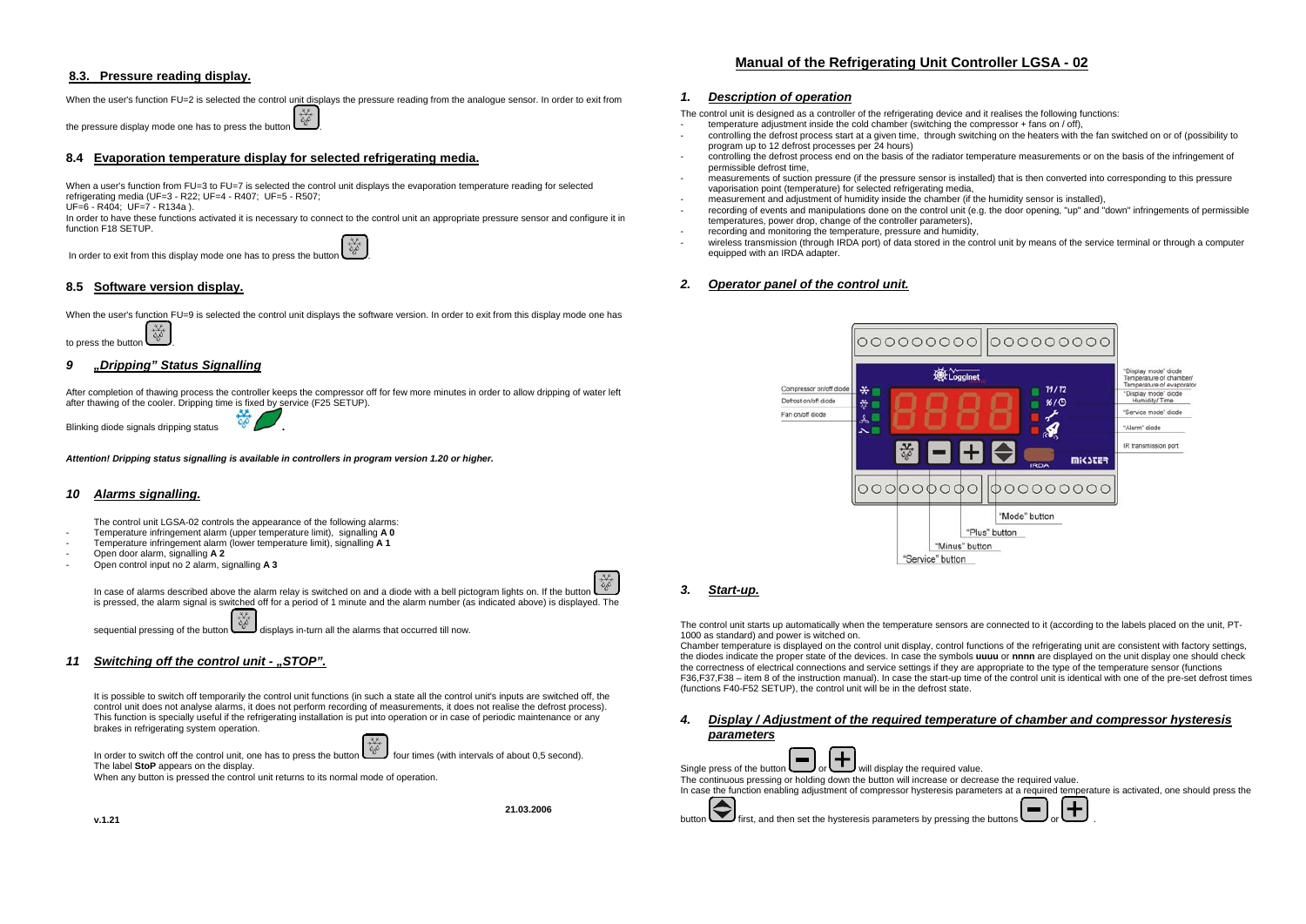# **8.3. Pressure reading display.**

### When the user's function FU=2 is selected the control unit displays the pressure reading from the analogue sensor. In order to exit from

the pressure display mode one has to press the button

# **8.4 Evaporation temperature display for selected refrigerating media.**

When a user's function from FU=3 to FU=7 is selected the control unit displays the evaporation temperature reading for selected refrigerating media (UF=3 - R22; UF=4 - R407; UF=5 - R507;

UF=6 - R404; UF=7 - R134a ).

In order to have these functions activated it is necessary to connect to the control unit an appropriate pressure sensor and configure it in function F18 SETUP.

In order to exit from this display mode one has to press the button  $\begin{bmatrix} x_0 \\ y_1 \\ z_2 \end{bmatrix}$ 

# **8.5 Software version display.**

When the user's function FU=9 is selected the control unit displays the software version. In order to exit from this display mode one has

to press the button

# *9 "Dripping" Status Signalling*

After completion of thawing process the controller keeps the compressor off for few more minutes in order to allow dripping of water left after thawing of the cooler. Dripping time is fixed by service (F25 SETUP).

Blinking diode signals dripping status

*Attention! Dripping status signalling is available in controllers in program version 1.20 or higher.*

### *10 Alarms signalling.*

The control unit LGSA-02 controls the appearance of the following alarms:

- Temperature infringement alarm (upper temperature limit), signalling **A 0**
- Temperature infringement alarm (lower temperature limit), signalling **A 1**
- Open door alarm, signalling **A 2**
- Open control input no 2 alarm, signalling **A 3**



**21.03.2006** 

In case of alarms described above the alarm relay is switched on and a diode with a bell pictogram lights on. If the button is pressed, the alarm signal is switched off for a period of 1 minute and the alarm number (as indicated above) is displayed. The

sequential pressing of the button displays in-turn all the alarms that occurred till now.

# *11 Switching off the control unit - "STOP".*

It is possible to switch off temporarily the control unit functions (in such a state all the control unit's inputs are switched off, the control unit does not analyse alarms, it does not perform recording of measurements, it does not realise the defrost process). This function is specially useful if the refrigerating installation is put into operation or in case of periodic maintenance or any brakes in refrigerating system operation.



When any button is pressed the control unit returns to its normal mode of operation.

# *1. Description of operation*

The control unit is designed as a controller of the refrigerating device and it realises the following functions:

- temperature adjustment inside the cold chamber (switching the compressor + fans on / off),
- controlling the defrost process start at a given time, through switching on the heaters with the fan switched on or of (possibility to program up to 12 defrost processes per 24 hours)
- controlling the defrost process end on the basis of the radiator temperature measurements or on the basis of the infringement of permissible defrost time,
- measurements of suction pressure (if the pressure sensor is installed) that is then converted into corresponding to this pressure vaporisation point (temperature) for selected refrigerating media,
- measurement and adjustment of humidity inside the chamber (if the humidity sensor is installed),
- recording of events and manipulations done on the control unit (e.g. the door opening, "up" and "down" infringements of permissible temperatures, power drop, change of the controller parameters),
- recording and monitoring the temperature, pressure and humidity,
- wireless transmission (through IRDA port) of data stored in the control unit by means of the service terminal or through a computer equipped with an IRDA adapter.

# *2. Operator panel of the control unit.*



# *3. Start-up.*

The control unit starts up automatically when the temperature sensors are connected to it (according to the labels placed on the unit, PT-1000 as standard) and power is witched on.

Chamber temperature is displayed on the control unit display, control functions of the refrigerating unit are consistent with factory settings, the diodes indicate the proper state of the devices. In case the symbols **uuuu** or **nnnn** are displayed on the unit display one should check the correctness of electrical connections and service settings if they are appropriate to the type of the temperature sensor (functions F36,F37,F38 – item 8 of the instruction manual). In case the start-up time of the control unit is identical with one of the pre-set defrost times (functions F40-F52 SETUP), the control unit will be in the defrost state.

*4. Display / Adjustment of the required temperature of chamber and compressor hysteresis* 

| parameters                                                                                                                                |
|-------------------------------------------------------------------------------------------------------------------------------------------|
| Single press of the button $\left(\blacksquare\right)_{\text{or}}\left(\blacktriangle\right)_{\text{will display the required value.}}$   |
| The continuous pressing or holding down the button will increase or decrease the required value.                                          |
| In case the function enabling adjustment of compressor hysteresis parameters at a required temperature is activated, one should press the |
| button $\bigodot$ first, and then set the hysteresis parameters by pressing the buttons $\bigodot$ or $\bigodot$                          |

# **Manual of the Refrigerating Unit Controller LGSA - 02**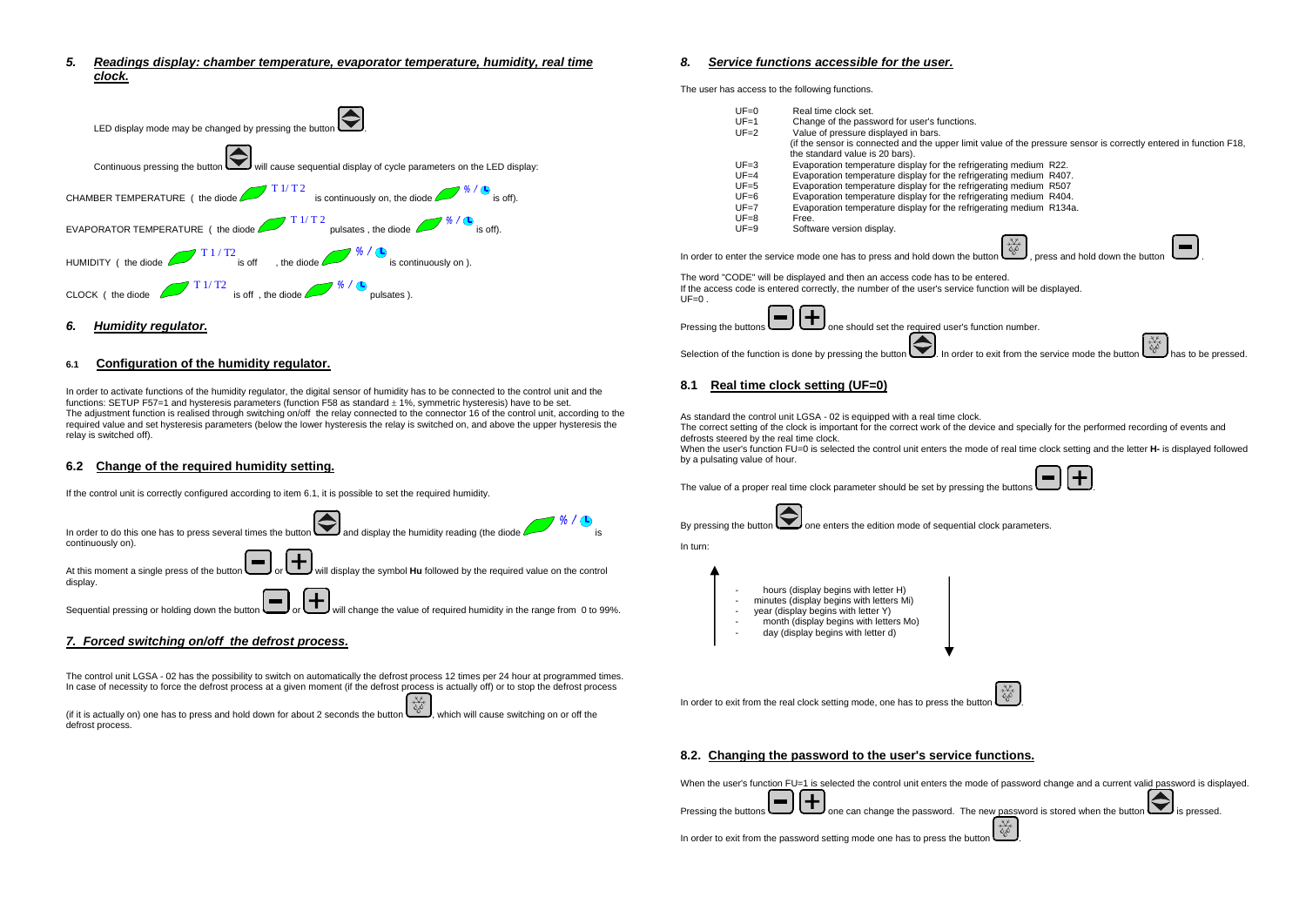*5. Readings display: chamber temperature, evaporator temperature, humidity, real time clock.* 



# *6. Humidity regulator.*

#### **6.1 Configuration of the humidity regulator.**

In order to activate functions of the humidity regulator, the digital sensor of humidity has to be connected to the control unit and the functions: SETUP F57=1 and hysteresis parameters (function F58 as standard  $\pm 1\%$ , symmetric hysteresis) have to be set. The adjustment function is realised through switching on/off the relay connected to the connector 16 of the control unit, according to the required value and set hysteresis parameters (below the lower hysteresis the relay is switched on, and above the upper hysteresis the relay is switched off).

### **6.2 Change of the required humidity setting.**

If the control unit is correctly configured according to item 6.1, it is possible to set the required humidity.



# *7. Forced switching on/off the defrost process.*

The control unit LGSA - 02 has the possibility to switch on automatically the defrost process 12 times per 24 hour at programmed times. In case of necessity to force the defrost process at a given moment (if the defrost process is actually off) or to stop the defrost process

(if it is actually on) one has to press and hold down for about 2 seconds the button  $\sim$  which will cause switching on or off the defrost process.

# *8. Service functions accessible for the user.*

The user has access to the following functions.

|         |                            | The user has access to the following functions.                                                                                                                                                                                                                    |
|---------|----------------------------|--------------------------------------------------------------------------------------------------------------------------------------------------------------------------------------------------------------------------------------------------------------------|
|         | $UF=0$<br>$UF=1$<br>$UF=2$ | Real time clock set.<br>Change of the password for user's functions.<br>Value of pressure displayed in bars.<br>(if the sensor is connected and the upper limit value of the pressure sensor is correctly entered in function F18,                                 |
|         | $UF=3$                     | the standard value is 20 bars).                                                                                                                                                                                                                                    |
|         |                            | Evaporation temperature display for the refrigerating medium R22.                                                                                                                                                                                                  |
|         | $UF=4$                     | Evaporation temperature display for the refrigerating medium R407.                                                                                                                                                                                                 |
|         | $UF=5$<br>$UF=6$           | Evaporation temperature display for the refrigerating medium R507                                                                                                                                                                                                  |
|         |                            | Evaporation temperature display for the refrigerating medium R404.                                                                                                                                                                                                 |
|         | $UF=7$                     | Evaporation temperature display for the refrigerating medium R134a.                                                                                                                                                                                                |
|         | $UF = 8$<br>$UF=9$         | Free.<br>Software version display.                                                                                                                                                                                                                                 |
|         |                            | In order to enter the service mode one has to press and hold down the button $\begin{bmatrix} x \overline{x} \\ y \overline{y} \\ z \overline{y} \end{bmatrix}$ , press and hold down the button                                                                   |
| $UF=0.$ |                            | The word "CODE" will be displayed and then an access code has to be entered.<br>If the access code is entered correctly, the number of the user's service function will be displayed.                                                                              |
|         | Pressing the buttons       | one should set the required user's function number.                                                                                                                                                                                                                |
|         |                            | Selection of the function is done by pressing the button $\left \bigotimes\right $ In order to exit from the service mode the button button $\left(\begin{array}{c}\frac{3\sqrt{2}}{2\sqrt{2}}\\ \frac{3\sqrt{2}}{2\sqrt{2}}\end{array}\right)$ has to be pressed. |
| 8.1     |                            | Real time clock setting (UF=0)                                                                                                                                                                                                                                     |

As standard the control unit LGSA - 02 is equipped with a real time clock.

The correct setting of the clock is important for the correct work of the device and specially for the performed recording of events and defrosts steered by the real time clock.

When the user's function FU=0 is selected the control unit enters the mode of real time clock setting and the letter **H-** is displayed followed by a pulsating value of hour.

The value of a proper real time clock parameter should be set by pressing the buttons  $\Box$ 





In turn:



In order to exit from the real clock setting mode, one has to press the button

### **8.2. Changing the password to the user's service functions.**

When the user's function FU=1 is selected the control unit enters the mode of password change and a current valid password is displayed.

Pressing the buttons **one of the can** change the password. The new password is stored when the button is pressed. н.

| .<br>In order to exit from the password setting mode one has to press the button |  |
|----------------------------------------------------------------------------------|--|
|                                                                                  |  |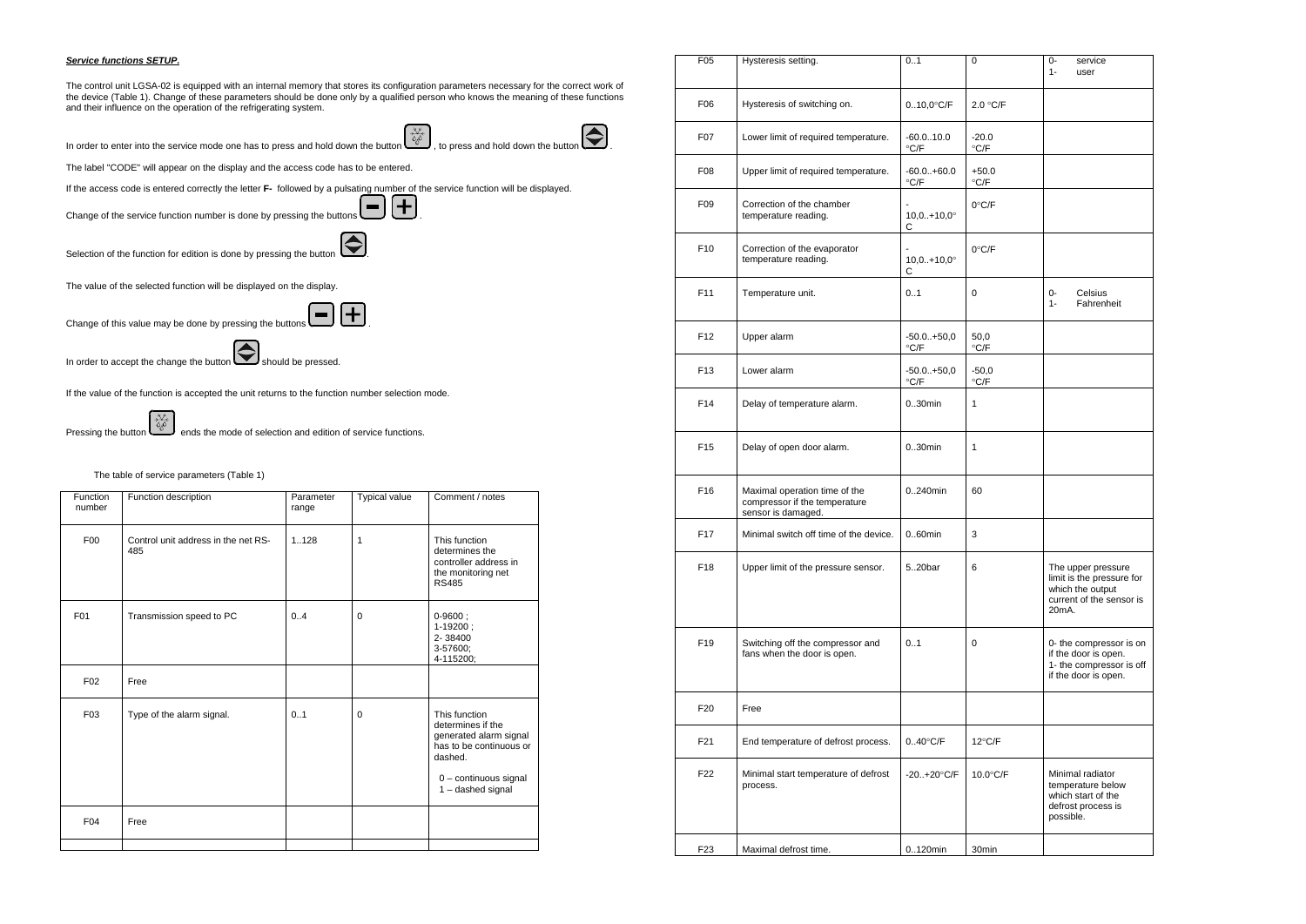#### *Service functions SETUP.*

The control unit LGSA-02 is equipped with an internal memory that stores its configuration parameters necessary for the correct work of the device (Table 1). Change of these parameters should be done only by a qualified person who knows the meaning of these functions and their influence on the operation of the refrigerating system.

In order to enter into the service mode one has to press and hold down the button  $\left(\begin{matrix} x \\ y \\ z \end{matrix}\right)$ , to press and hold down the button

The label "CODE" will appear on the display and the access code has to be entered.

If the access code is entered correctly the letter **F-** followed by a pulsating number of the service function will be displayed.

Change of the service function number is done by pressing the buttons  $\Box$ 



Selection of the function for edition is done by pressing the button  $\bigodot$ 

The value of the selected function will be displayed on the display.

Change of this value may be done by pressing the buttons  $\left(\blacksquare\right)\left(\blacktriangle$  $\blacksquare$ 

In order to accept the change the button  $\bigotimes$  should be pressed.

If the value of the function is accepted the unit returns to the function number selection mode.

Pressing the button  $\left(\begin{array}{c} x \downarrow k \\ y \downarrow k \end{array}\right)$  ends the mode of selection and edition of service functions.

### The table of service parameters (Table 1)

|  | <b>Function</b><br>number | Function description                       | Parameter<br>range | <b>Typical value</b> | Comment / notes                                                                                                                                  |
|--|---------------------------|--------------------------------------------|--------------------|----------------------|--------------------------------------------------------------------------------------------------------------------------------------------------|
|  | F <sub>0</sub>            | Control unit address in the net RS-<br>485 | 1128               | 1                    | This function<br>determines the<br>controller address in<br>the monitoring net<br><b>RS485</b>                                                   |
|  | F <sub>01</sub>           | Transmission speed to PC                   | 0.4                | $\Omega$             | $0 - 9600$ ;<br>$1-19200$ ;<br>2-38400<br>3-57600;<br>4-115200;                                                                                  |
|  | F <sub>02</sub>           | Free                                       |                    |                      |                                                                                                                                                  |
|  | F03                       | Type of the alarm signal.                  | 0.1                | $\Omega$             | This function<br>determines if the<br>generated alarm signal<br>has to be continuous or<br>dashed.<br>0 - continuous signal<br>1 - dashed signal |
|  | F <sub>04</sub>           | Free                                       |                    |                      |                                                                                                                                                  |
|  |                           |                                            |                    |                      |                                                                                                                                                  |

| F <sub>0</sub> 5 | Hysteresis setting.                                                                  | 01                                        | 0                                  | 0-<br>service<br>$1 -$<br>user                                                                                        |
|------------------|--------------------------------------------------------------------------------------|-------------------------------------------|------------------------------------|-----------------------------------------------------------------------------------------------------------------------|
| F06              | Hysteresis of switching on.                                                          | $0.10,0^{\circ}$ C/F                      | 2.0 °C/F                           |                                                                                                                       |
| F07              | Lower limit of required temperature.                                                 | $-60.010.0$<br>$\mathrm{C}/\mathrm{F}$    | $-20.0$<br>$\mathrm{C}/\mathrm{F}$ |                                                                                                                       |
| F08              | Upper limit of required temperature.                                                 | $-60.0.+60.0$<br>$\mathrm{C}/\mathrm{F}$  | $+50.0$<br>$\mathrm{C}/\mathrm{F}$ |                                                                                                                       |
| F09              | Correction of the chamber<br>temperature reading.                                    | $10,0.+10,0^{\circ}$<br>С                 | $0^{\circ}$ C/F                    |                                                                                                                       |
| F10              | Correction of the evaporator<br>temperature reading.                                 | $10,0.+10,0^{\circ}$<br>С                 | $0^{\circ}$ C/F                    |                                                                                                                       |
| F11              | Temperature unit.                                                                    | 0.1                                       | 0                                  | Celsius<br>0-<br>Fahrenheit<br>$1 -$                                                                                  |
| F <sub>12</sub>  | Upper alarm                                                                          | $-50.0 + 50,0$<br>$\mathrm{C}/\mathrm{F}$ | 50,0<br>$\mathrm{C/F}$             |                                                                                                                       |
| F <sub>13</sub>  | Lower alarm                                                                          | $-50.0 + 50,0$<br>$\mathrm{^{\circ} C/F}$ | $-50,0$<br>$\mathrm{C}/\mathrm{F}$ |                                                                                                                       |
| F14              | Delay of temperature alarm.                                                          | $030$ min                                 | 1                                  |                                                                                                                       |
| F15              | Delay of open door alarm.                                                            | $0.30$ min                                | 1                                  |                                                                                                                       |
| F16              | Maximal operation time of the<br>compressor if the temperature<br>sensor is damaged. | 0240min                                   | 60                                 |                                                                                                                       |
| F17              | Minimal switch off time of the device.                                               | $0.60$ min                                | 3                                  |                                                                                                                       |
| F18              | Upper limit of the pressure sensor.                                                  | 520bar                                    | 6                                  | The upper pressure<br>limit is the pressure for<br>which the output<br>current of the sensor is<br>20 <sub>m</sub> A. |
| F19              | Switching off the compressor and<br>fans when the door is open.                      | 0.1                                       | 0                                  | 0- the compressor is on<br>if the door is open.<br>1- the compressor is off<br>if the door is open.                   |
| F20              | Free                                                                                 |                                           |                                    |                                                                                                                       |
| F <sub>21</sub>  | End temperature of defrost process.                                                  | $0.40^{\circ}$ C/F                        | $12^{\circ}$ C/F                   |                                                                                                                       |
| F22              | Minimal start temperature of defrost<br>process.                                     | $-20+20^{\circ}$ C/F                      | 10.0°C/F                           | Minimal radiator<br>temperature below<br>which start of the<br>defrost process is<br>possible.                        |
| F <sub>23</sub>  | Maximal defrost time.                                                                | $0.120$ min                               | 30 <sub>min</sub>                  |                                                                                                                       |